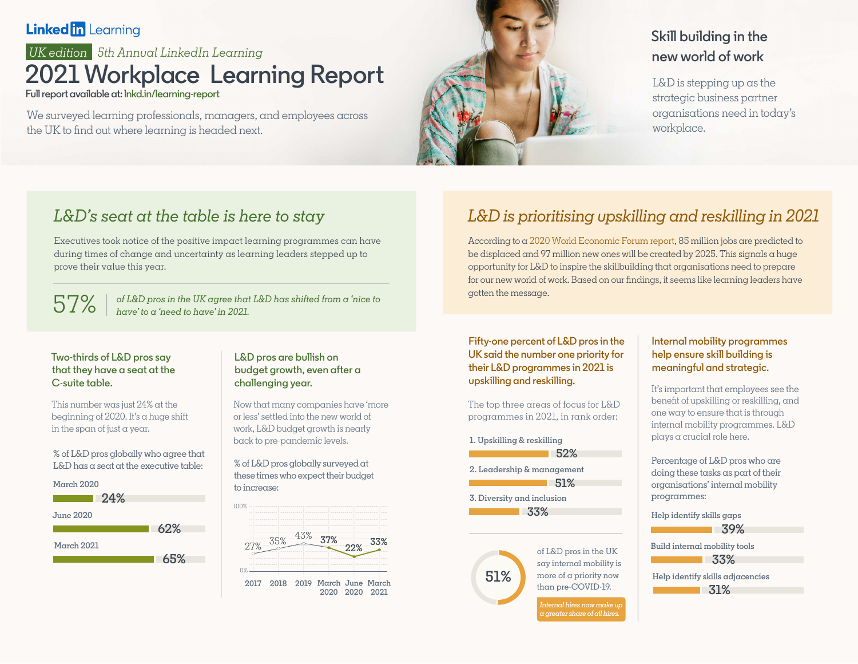### **Linked in Learning**

### *5th Annual LinkedIn Learning UK edition* **2021 Workplace Learning Report Full report available at: [lnkd.in/learning-report](http://lnkd.in/learning-report)**

We surveyed learning professionals, managers, and employees across the UK to find out where learning is headed next.



## **Skill building in the new world of work**

L&D is stepping up as the strategic business partner organisations need in today's workplace.

# *L&D's seat at the table is here to stay*

Executives took notice of the positive impact learning programmes can have during times of change and uncertainty as learning leaders stepped up to prove their value this year.

 $57\%$   $^{\circ}$  *of L&D pros in the UK agree that L&D has shifted from a 'nice to have' to a 'need to have' in 2021.* 

### **Two-thirds of L&D pros say that they have a seat at the C-suite table.**

This number was just 24% at the beginning of 2020. It's  $\alpha$  huge shift in the span of just a year.

% of L&D pros globally who agree that  $L&D$  has a seat at the executive table:



### **L&D pros are bullish on budget growth, even after a challenging year.**

Now that many companies have 'more or less' settled into the new world of work, L&D budget growth is nearly back to pre-pandemic levels.

% of L&D pros globally surveyed at these times who expect their budget to increase:



# *L&D is prioritising upskilling and reskilling in 2021*

According to a [2020 World Economic Forum report,](https://www.weforum.org/press/2020/10/recession-and-automation-changes-our-future-of-work-but-there-are-jobs-coming-report-says-52c5162fce/) 85 million jobs are predicted to be displaced and 97 million new ones will be created by 2025. This signals a huge opportunity for L&D to inspire the skillbuilding that organisations need to prepare for our new world of work. Based on our findings, it seems like learning leaders have gotten the message.

#### **Fifty-one percent of L&D pros in the UK said the number one priority for their L&D programmes in 2021 is upskilling and reskilling.**

The top three areas of focus for L&D programmes in 2021, in rank order:

**1. Upskilling & reskilling 52%**

**2. Leadership & management** 

**51%**

**3. Diversity and inclusion 33%**



of L&D pros in the UK say internal mobility is more of a priority now than pre-COVID-19.

*Internal hires now make up a greater share of all hires.* 

### **Internal mobility programmes help ensure skill building is meaningful and strategic.**

It's important that employees see the benefit of upskilling or reskilling, and one way to ensure that is through internal mobility programmes. L&D plays a crucial role here.

Percentage of L&D pros who are doing these tasks as part of their organisations' internal mobility programmes:

**Help identify skills gaps** 

**39%**

**Build internal mobility tools** 

**33%**

**Help identify skills adjacencies 31%**